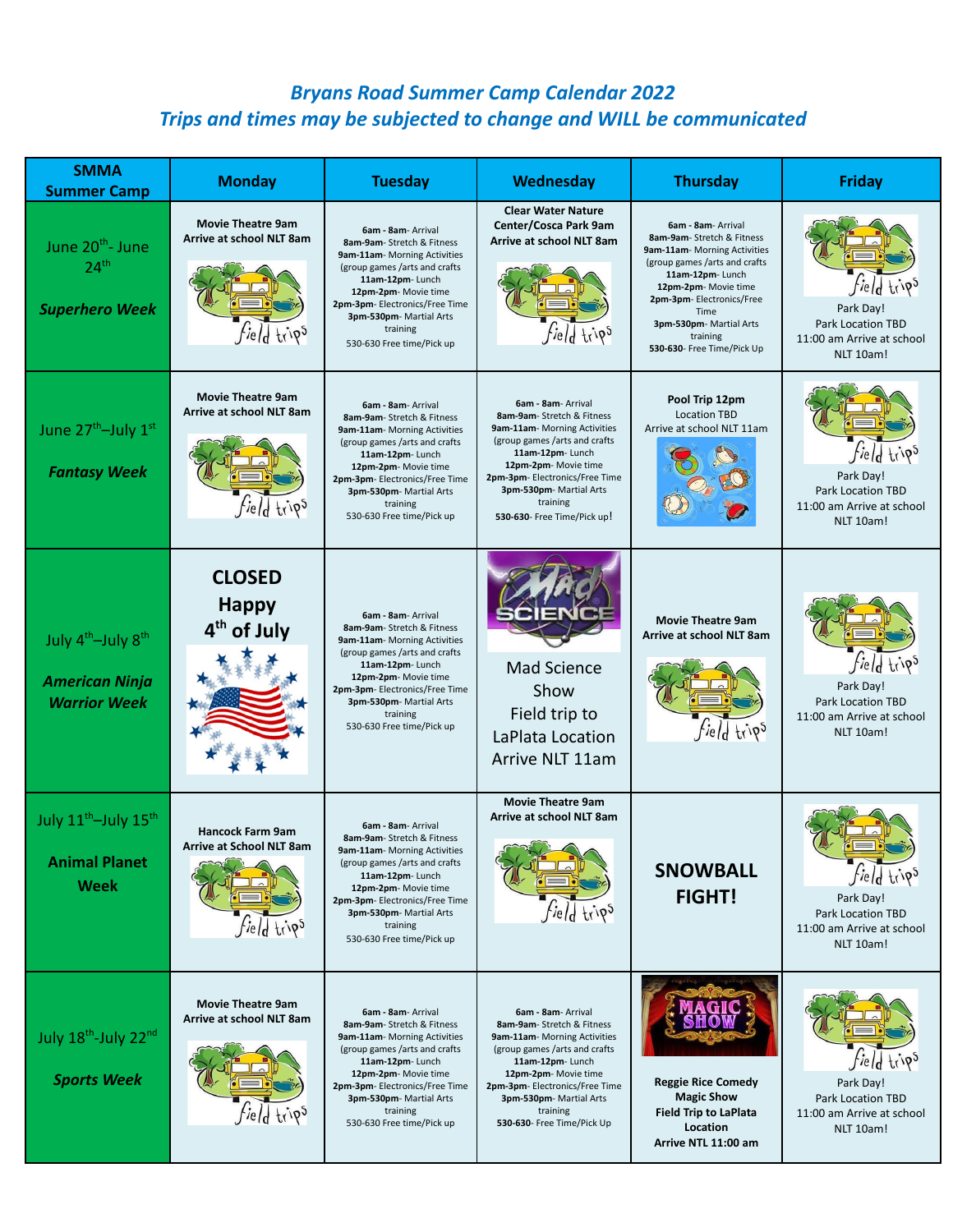## *Bryans Road Summer Camp Calendar 2022 Trips and times may be subjected to change and WILL be communicated*

| <b>SMMA</b><br><b>Summer Camp</b>                                                          | <b>Monday</b>                                                                    | <b>Tuesday</b>                                                                                                                                                                                                                                                             | <b>Wednesday</b>                                                                                                                                                                                                                                                    | <b>Thursday</b>                                                                                                                                                                                                                                                        | <b>Friday</b>                                                                                         |
|--------------------------------------------------------------------------------------------|----------------------------------------------------------------------------------|----------------------------------------------------------------------------------------------------------------------------------------------------------------------------------------------------------------------------------------------------------------------------|---------------------------------------------------------------------------------------------------------------------------------------------------------------------------------------------------------------------------------------------------------------------|------------------------------------------------------------------------------------------------------------------------------------------------------------------------------------------------------------------------------------------------------------------------|-------------------------------------------------------------------------------------------------------|
| June 20 <sup>th</sup> - June<br>24 <sup>th</sup><br><b>Superhero Week</b>                  | <b>Movie Theatre 9am</b><br>Arrive at school NLT 8am<br><i>field</i> trips       | 6am - 8am- Arrival<br>8am-9am- Stretch & Fitness<br>9am-11am- Morning Activities<br>(group games /arts and crafts)<br>11am-12pm-Lunch<br>12pm-2pm- Movie time<br>2pm-3pm- Electronics/Free Time<br>3pm-530pm- Martial Arts<br>training<br>530-630 Free time/Pick up        | <b>Clear Water Nature</b><br>Center/Cosca Park 9am<br><b>Arrive at school NLT 8am</b><br><i>field</i> trips                                                                                                                                                         | 6am - 8am - Arrival<br>8am-9am-Stretch & Fitness<br>9am-11am- Morning Activities<br>(group games /arts and crafts)<br>11am-12pm-Lunch<br>12pm-2pm- Movie time<br>2pm-3pm-Electronics/Free<br>Time<br>3pm-530pm- Martial Arts<br>training<br>530-630- Free Time/Pick Up | <i>field</i> trips<br>Park Day!<br><b>Park Location TBD</b><br>11:00 am Arrive at school<br>NLT 10am! |
| June 27 <sup>th</sup> -July 1st<br><b>Fantasy Week</b>                                     | <b>Movie Theatre 9am</b><br>Arrive at school NLT 8am<br><i>field</i> trips       | 6am - 8am- Arrival<br>8am-9am-Stretch & Fitness<br>9am-11am- Morning Activities<br>(group games /arts and crafts)<br>11am-12pm-Lunch<br>12pm-2pm- Movie time<br>2pm-3pm- Electronics/Free Time<br>3pm-530pm- Martial Arts<br>training<br>530-630 Free time/Pick up         | 6am - 8am- Arrival<br>8am-9am-Stretch & Fitness<br>9am-11am- Morning Activities<br>(group games /arts and crafts)<br>11am-12pm-Lunch<br>12pm-2pm- Movie time<br>2pm-3pm-Electronics/Free Time<br>3pm-530pm- Martial Arts<br>training<br>530-630- Free Time/Pick up! | Pool Trip 12pm<br><b>Location TBD</b><br>Arrive at school NLT 11am                                                                                                                                                                                                     | <i>field</i> trips<br>Park Day!<br><b>Park Location TBD</b><br>11:00 am Arrive at school<br>NLT 10am! |
| July 4 <sup>th</sup> -July 8 <sup>th</sup><br><b>American Ninja</b><br><b>Warrior Week</b> | <b>CLOSED</b><br><b>Happy</b><br>4 <sup>th</sup> of July                         | 6am - 8am- Arrival<br>8am-9am-Stretch & Fitness<br>9am-11am- Morning Activities<br>(group games /arts and crafts<br>11am-12pm-Lunch<br>12pm-2pm- Movie time<br>2pm-3pm- Electronics/Free Time<br>3pm-530pm- Martial Arts<br>training<br>530-630 Free time/Pick up          | <b>Mad Science</b><br>Show<br>Field trip to<br>LaPlata Location<br>Arrive NLT 11am                                                                                                                                                                                  | <b>Movie Theatre 9am</b><br>Arrive at school NLT 8am<br><i>field</i> trips                                                                                                                                                                                             | <i>field</i> trips<br>Park Day!<br><b>Park Location TBD</b><br>11:00 am Arrive at school<br>NLT 10am! |
| July 11 <sup>th</sup> -July 15 <sup>th</sup><br><b>Animal Planet</b><br><b>Week</b>        | <b>Hancock Farm 9am</b><br><b>Arrive at School NLT 8am</b><br><i>field</i> trips | 6am - 8am- Arrival<br>8am-9am- Stretch & Fitness<br><b>9am-11am</b> - Morning Activities<br>(group games /arts and crafts<br>11am-12pm-Lunch<br>12pm-2pm- Movie time<br>2pm-3pm- Electronics/Free Time<br>3pm-530pm- Martial Arts<br>training<br>530-630 Free time/Pick up | <b>Movie Theatre 9am</b><br>Arrive at school NLT 8am<br><i>field</i> trips                                                                                                                                                                                          | <b>SNOWBALL</b><br><b>FIGHT!</b>                                                                                                                                                                                                                                       | fieldtrips<br>Park Day!<br><b>Park Location TBD</b><br>11:00 am Arrive at school<br>NLT 10am!         |
| July 18th-July 22nd<br><b>Sports Week</b>                                                  | <b>Movie Theatre 9am</b><br>Arrive at school NLT 8am<br><i>field</i> trips       | 6am - 8am- Arrival<br>8am-9am-Stretch & Fitness<br>9am-11am- Morning Activities<br>(group games /arts and crafts<br>11am-12pm-Lunch<br>12pm-2pm- Movie time<br>2pm-3pm- Electronics/Free Time<br>3pm-530pm- Martial Arts<br>training<br>530-630 Free time/Pick up          | 6am - 8am- Arrival<br>8am-9am-Stretch & Fitness<br>9am-11am- Morning Activities<br>(group games /arts and crafts<br>11am-12pm-Lunch<br>12pm-2pm- Movie time<br>2pm-3pm- Electronics/Free Time<br>3pm-530pm-Martial Arts<br>training<br>530-630- Free Time/Pick Up   | <b>Reggie Rice Comedy</b><br><b>Magic Show</b><br><b>Field Trip to LaPlata</b><br>Location<br>Arrive NTL 11:00 am                                                                                                                                                      | <i>field</i> trips<br>Park Day!<br>Park Location TBD<br>11:00 am Arrive at school<br>NLT 10am!        |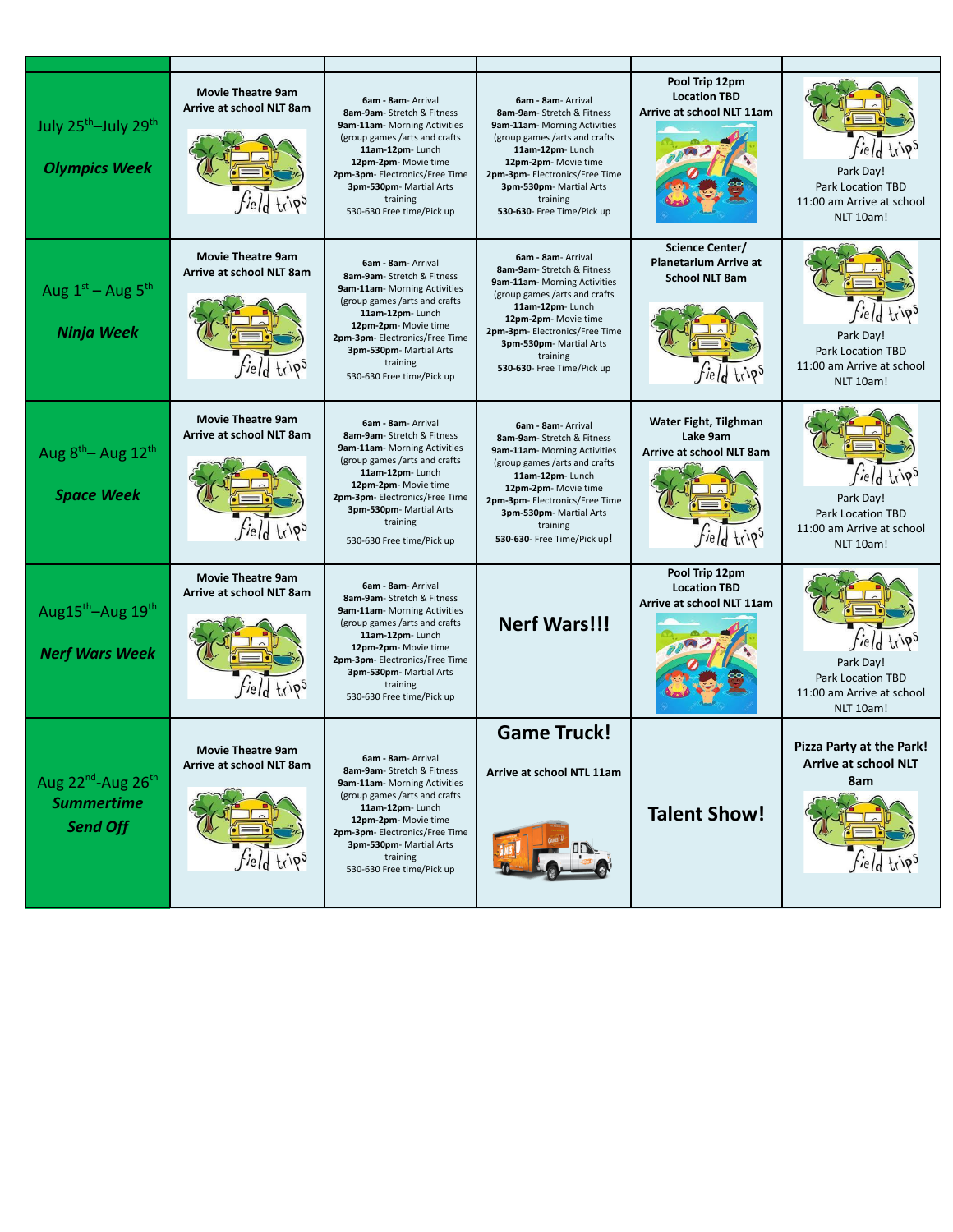| July 25 <sup>th</sup> -July 29 <sup>th</sup><br><b>Olympics Week</b> | <b>Movie Theatre 9am</b><br>Arrive at school NLT 8am<br><i>field</i> trips | 6am - 8am - Arrival<br>8am-9am-Stretch & Fitness<br>9am-11am- Morning Activities<br>(group games /arts and crafts)<br>11am-12pm-Lunch<br>12pm-2pm- Movie time<br>2pm-3pm-Electronics/Free Time<br>3pm-530pm- Martial Arts<br>training<br>530-630 Free time/Pick up         | 6am - 8am - Arrival<br>8am-9am- Stretch & Fitness<br>9am-11am- Morning Activities<br>(group games /arts and crafts)<br>11am-12pm-Lunch<br>12pm-2pm- Movie time<br>2pm-3pm- Electronics/Free Time<br>3pm-530pm- Martial Arts<br>training<br>530-630- Free Time/Pick up | Pool Trip 12pm<br><b>Location TBD</b><br><b>Arrive at school NLT 11am</b>                      | <i>field</i> trips<br>Park Day!<br><b>Park Location TBD</b><br>11:00 am Arrive at school<br>NLT 10am! |
|----------------------------------------------------------------------|----------------------------------------------------------------------------|----------------------------------------------------------------------------------------------------------------------------------------------------------------------------------------------------------------------------------------------------------------------------|-----------------------------------------------------------------------------------------------------------------------------------------------------------------------------------------------------------------------------------------------------------------------|------------------------------------------------------------------------------------------------|-------------------------------------------------------------------------------------------------------|
| Aug $1st$ – Aug $5th$<br><b>Ninja Week</b>                           | <b>Movie Theatre 9am</b><br>Arrive at school NLT 8am<br><i>field</i> trips | 6am - 8am - Arrival<br>8am-9am-Stretch & Fitness<br>9am-11am-Morning Activities<br>(group games /arts and crafts)<br>11am-12pm-Lunch<br>12pm-2pm- Movie time<br>2pm-3pm-Electronics/Free Time<br>3pm-530pm- Martial Arts<br>training<br>530-630 Free time/Pick up          | 6am - 8am - Arrival<br>8am-9am- Stretch & Fitness<br>9am-11am-Morning Activities<br>(group games /arts and crafts)<br>11am-12pm-Lunch<br>12pm-2pm- Movie time<br>2pm-3pm- Electronics/Free Time<br>3pm-530pm- Martial Arts<br>training<br>530-630- Free Time/Pick up  | Science Center/<br><b>Planetarium Arrive at</b><br><b>School NLT 8am</b><br><i>field</i> trips | <i>field</i> trips<br>Park Day!<br><b>Park Location TBD</b><br>11:00 am Arrive at school<br>NLT 10am! |
| Aug $8^{th}$ – Aug 12 <sup>th</sup><br><b>Space Week</b>             | <b>Movie Theatre 9am</b><br>Arrive at school NLT 8am<br><i>field</i> trips | 6am - 8am - Arrival<br>8am-9am-Stretch & Fitness<br>9am-11am-Morning Activities<br>(group games /arts and crafts)<br>11am-12pm-Lunch<br>12pm-2pm- Movie time<br>2pm-3pm- Electronics/Free Time<br>3pm-530pm- Martial Arts<br>training<br>530-630 Free time/Pick up         | 6am - 8am- Arrival<br>8am-9am-Stretch & Fitness<br>9am-11am- Morning Activities<br>(group games /arts and crafts)<br>11am-12pm-Lunch<br>12pm-2pm- Movie time<br>2pm-3pm- Electronics/Free Time<br>3pm-530pm-Martial Arts<br>training<br>530-630- Free Time/Pick up!   | Water Fight, Tilghman<br>Lake 9am<br>Arrive at school NLT 8am<br><i>field</i> trips            | <i>field</i> trips<br>Park Day!<br><b>Park Location TBD</b><br>11:00 am Arrive at school<br>NLT 10am! |
| Aug15 <sup>th</sup> -Aug 19 <sup>th</sup><br><b>Nerf Wars Week</b>   | <b>Movie Theatre 9am</b><br>Arrive at school NLT 8am<br><i>field</i> trips | 6am - 8am - Arrival<br>8am-9am-Stretch & Fitness<br>9am-11am-Morning Activities<br>(group games /arts and crafts)<br>11am-12pm-Lunch<br>12pm-2pm- Movie time<br>2pm-3pm- Electronics/Free Time<br>3pm-530pm- Martial Arts<br>training<br>530-630 Free time/Pick up         | <b>Nerf Wars!!!</b>                                                                                                                                                                                                                                                   | Pool Trip 12pm<br><b>Location TBD</b><br>Arrive at school NLT 11am                             | <i>field</i> trips<br>Park Day!<br><b>Park Location TBD</b><br>11:00 am Arrive at school<br>NLT 10am! |
| Aug $22^{nd}$ -Aug $26^{th}$<br><b>Summertime</b><br><b>Send Off</b> | <b>Movie Theatre 9am</b><br>Arrive at school NLT 8am                       | <b>6am - 8am</b> - Arrival<br>8am-9am-Stretch & Fitness<br>9am-11am- Morning Activities<br>(group games /arts and crafts)<br>11am-12pm-Lunch<br>12pm-2pm- Movie time<br>2pm-3pm- Electronics/Free Time<br>3pm-530pm- Martial Arts<br>training<br>530-630 Free time/Pick up | <b>Game Truck!</b><br>Arrive at school NTL 11am                                                                                                                                                                                                                       | <b>Talent Show!</b>                                                                            | <b>Pizza Party at the Park!</b><br><b>Arrive at school NLT</b><br>8am                                 |